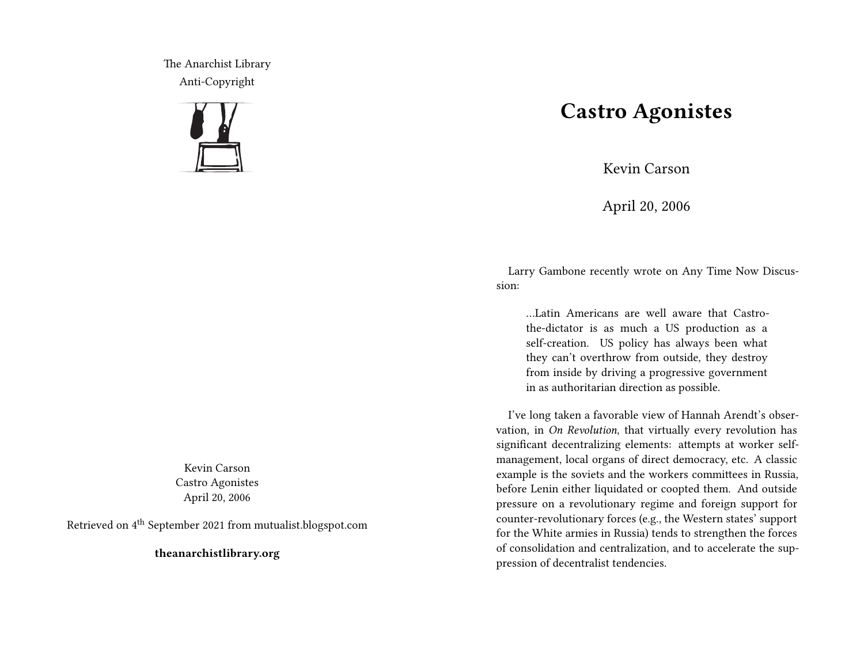The Anarchist Library Anti-Copyright



Kevin Carson Castro Agonistes April 20, 2006

Retrieved on 4th September 2021 from mutualist.blogspot.com

**theanarchistlibrary.org**

## **Castro Agonistes**

Kevin Carson

April 20, 2006

Larry Gambone recently wrote on Any Time Now Discussion:

…Latin Americans are well aware that Castrothe-dictator is as much a US production as a self-creation. US policy has always been what they can't overthrow from outside, they destroy from inside by driving a progressive government in as authoritarian direction as possible.

I've long taken a favorable view of Hannah Arendt's observation, in *On Revolution*, that virtually every revolution has significant decentralizing elements: attempts at worker selfmanagement, local organs of direct democracy, etc. A classic example is the soviets and the workers committees in Russia, before Lenin either liquidated or coopted them. And outside pressure on a revolutionary regime and foreign support for counter-revolutionary forces (e.g., the Western states' support for the White armies in Russia) tends to strengthen the forces of consolidation and centralization, and to accelerate the suppression of decentralist tendencies.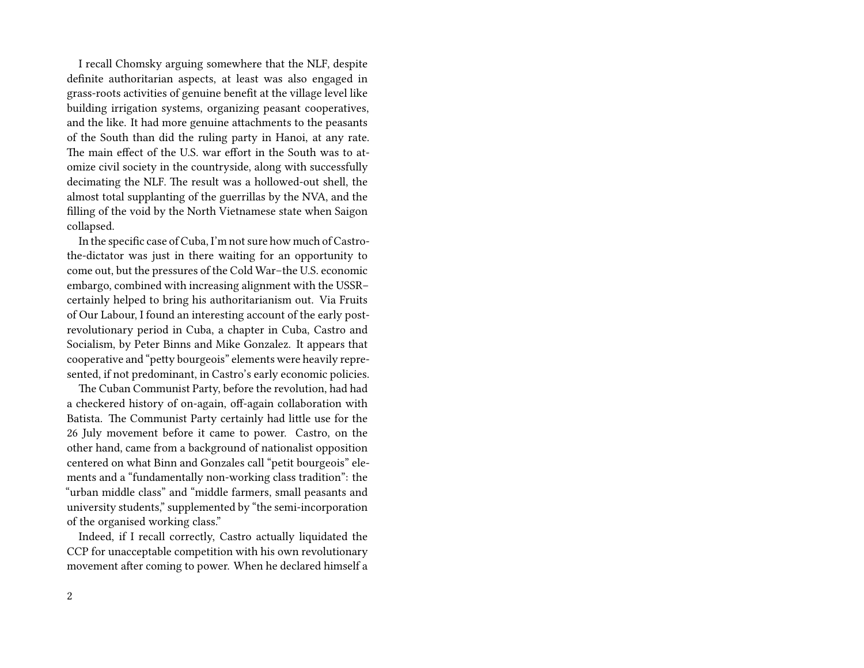I recall Chomsky arguing somewhere that the NLF, despite definite authoritarian aspects, at least was also engaged in grass-roots activities of genuine benefit at the village level like building irrigation systems, organizing peasant cooperatives, and the like. It had more genuine attachments to the peasants of the South than did the ruling party in Hanoi, at any rate. The main effect of the U.S. war effort in the South was to atomize civil society in the countryside, along with successfully decimating the NLF. The result was a hollowed-out shell, the almost total supplanting of the guerrillas by the NVA, and the filling of the void by the North Vietnamese state when Saigon collapsed.

In the specific case of Cuba, I'm not sure how much of Castrothe-dictator was just in there waiting for an opportunity to come out, but the pressures of the Cold War–the U.S. economic embargo, combined with increasing alignment with the USSR– certainly helped to bring his authoritarianism out. Via Fruits of Our Labour, I found an interesting account of the early postrevolutionary period in Cuba, a chapter in Cuba, Castro and Socialism, by Peter Binns and Mike Gonzalez. It appears that cooperative and "petty bourgeois" elements were heavily represented, if not predominant, in Castro's early economic policies.

The Cuban Communist Party, before the revolution, had had a checkered history of on-again, off-again collaboration with Batista. The Communist Party certainly had little use for the 26 July movement before it came to power. Castro, on the other hand, came from a background of nationalist opposition centered on what Binn and Gonzales call "petit bourgeois" elements and a "fundamentally non-working class tradition": the "urban middle class" and "middle farmers, small peasants and university students," supplemented by "the semi-incorporation of the organised working class."

Indeed, if I recall correctly, Castro actually liquidated the CCP for unacceptable competition with his own revolutionary movement after coming to power. When he declared himself a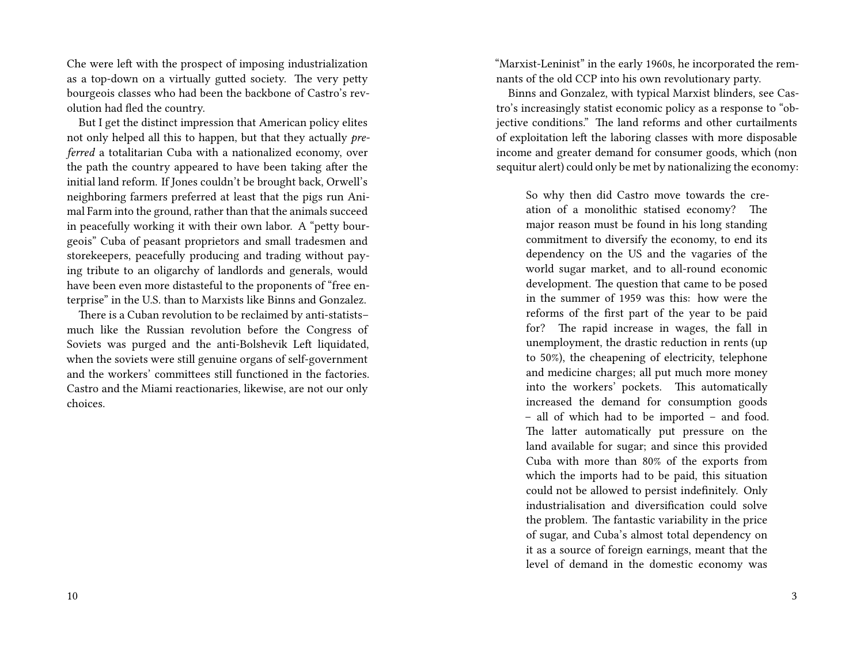Che were left with the prospect of imposing industrialization as a top-down on a virtually gutted society. The very petty bourgeois classes who had been the backbone of Castro's revolution had fled the country.

But I get the distinct impression that American policy elites not only helped all this to happen, but that they actually *preferred* a totalitarian Cuba with a nationalized economy, over the path the country appeared to have been taking after the initial land reform. If Jones couldn't be brought back, Orwell's neighboring farmers preferred at least that the pigs run Animal Farm into the ground, rather than that the animals succeed in peacefully working it with their own labor. A "petty bourgeois" Cuba of peasant proprietors and small tradesmen and storekeepers, peacefully producing and trading without paying tribute to an oligarchy of landlords and generals, would have been even more distasteful to the proponents of "free enterprise" in the U.S. than to Marxists like Binns and Gonzalez.

There is a Cuban revolution to be reclaimed by anti-statists– much like the Russian revolution before the Congress of Soviets was purged and the anti-Bolshevik Left liquidated, when the soviets were still genuine organs of self-government and the workers' committees still functioned in the factories. Castro and the Miami reactionaries, likewise, are not our only choices.

"Marxist-Leninist" in the early 1960s, he incorporated the remnants of the old CCP into his own revolutionary party.

Binns and Gonzalez, with typical Marxist blinders, see Castro's increasingly statist economic policy as a response to "objective conditions." The land reforms and other curtailments of exploitation left the laboring classes with more disposable income and greater demand for consumer goods, which (non sequitur alert) could only be met by nationalizing the economy:

So why then did Castro move towards the creation of a monolithic statised economy? The major reason must be found in his long standing commitment to diversify the economy, to end its dependency on the US and the vagaries of the world sugar market, and to all-round economic development. The question that came to be posed in the summer of 1959 was this: how were the reforms of the first part of the year to be paid for? The rapid increase in wages, the fall in unemployment, the drastic reduction in rents (up to 50%), the cheapening of electricity, telephone and medicine charges; all put much more money into the workers' pockets. This automatically increased the demand for consumption goods – all of which had to be imported – and food. The latter automatically put pressure on the land available for sugar; and since this provided Cuba with more than 80% of the exports from which the imports had to be paid, this situation could not be allowed to persist indefinitely. Only industrialisation and diversification could solve the problem. The fantastic variability in the price of sugar, and Cuba's almost total dependency on it as a source of foreign earnings, meant that the level of demand in the domestic economy was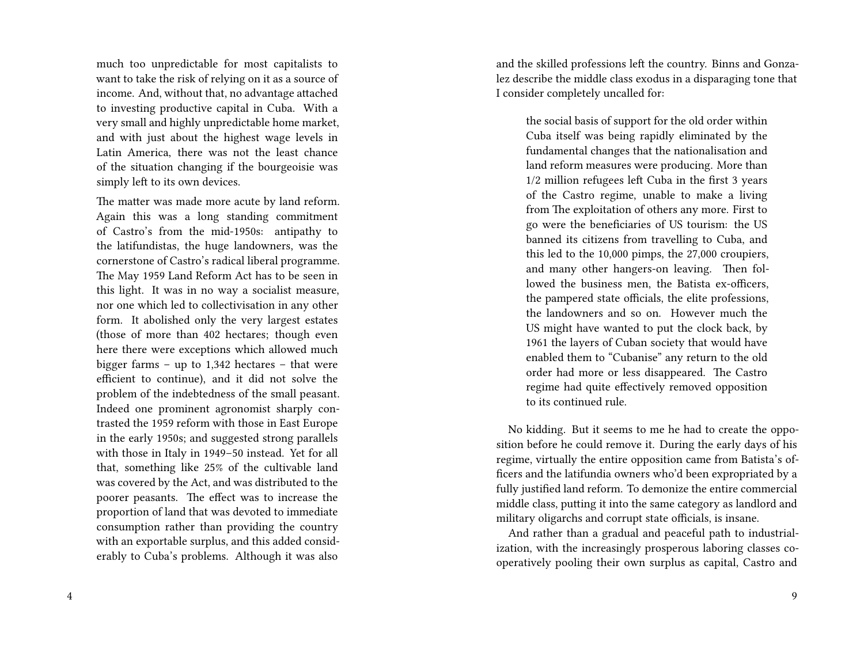much too unpredictable for most capitalists to want to take the risk of relying on it as a source of income. And, without that, no advantage attached to investing productive capital in Cuba. With a very small and highly unpredictable home market, and with just about the highest wage levels in Latin America, there was not the least chance of the situation changing if the bourgeoisie was simply left to its own devices.

The matter was made more acute by land reform. Again this was a long standing commitment of Castro's from the mid-1950s: antipathy to the latifundistas, the huge landowners, was the cornerstone of Castro's radical liberal programme. The May 1959 Land Reform Act has to be seen in this light. It was in no way a socialist measure, nor one which led to collectivisation in any other form. It abolished only the very largest estates (those of more than 402 hectares; though even here there were exceptions which allowed much bigger farms – up to 1,342 hectares – that were efficient to continue), and it did not solve the problem of the indebtedness of the small peasant. Indeed one prominent agronomist sharply contrasted the 1959 reform with those in East Europe in the early 1950s; and suggested strong parallels with those in Italy in 1949–50 instead. Yet for all that, something like 25% of the cultivable land was covered by the Act, and was distributed to the poorer peasants. The effect was to increase the proportion of land that was devoted to immediate consumption rather than providing the country with an exportable surplus, and this added considerably to Cuba's problems. Although it was also

and the skilled professions left the country. Binns and Gonzalez describe the middle class exodus in a disparaging tone that I consider completely uncalled for:

the social basis of support for the old order within Cuba itself was being rapidly eliminated by the fundamental changes that the nationalisation and land reform measures were producing. More than 1/2 million refugees left Cuba in the first 3 years of the Castro regime, unable to make a living from The exploitation of others any more. First to go were the beneficiaries of US tourism: the US banned its citizens from travelling to Cuba, and this led to the 10,000 pimps, the 27,000 croupiers, and many other hangers-on leaving. Then followed the business men, the Batista ex-officers, the pampered state officials, the elite professions, the landowners and so on. However much the US might have wanted to put the clock back, by 1961 the layers of Cuban society that would have enabled them to "Cubanise" any return to the old order had more or less disappeared. The Castro regime had quite effectively removed opposition to its continued rule.

No kidding. But it seems to me he had to create the opposition before he could remove it. During the early days of his regime, virtually the entire opposition came from Batista's officers and the latifundia owners who'd been expropriated by a fully justified land reform. To demonize the entire commercial middle class, putting it into the same category as landlord and military oligarchs and corrupt state officials, is insane.

And rather than a gradual and peaceful path to industrialization, with the increasingly prosperous laboring classes cooperatively pooling their own surplus as capital, Castro and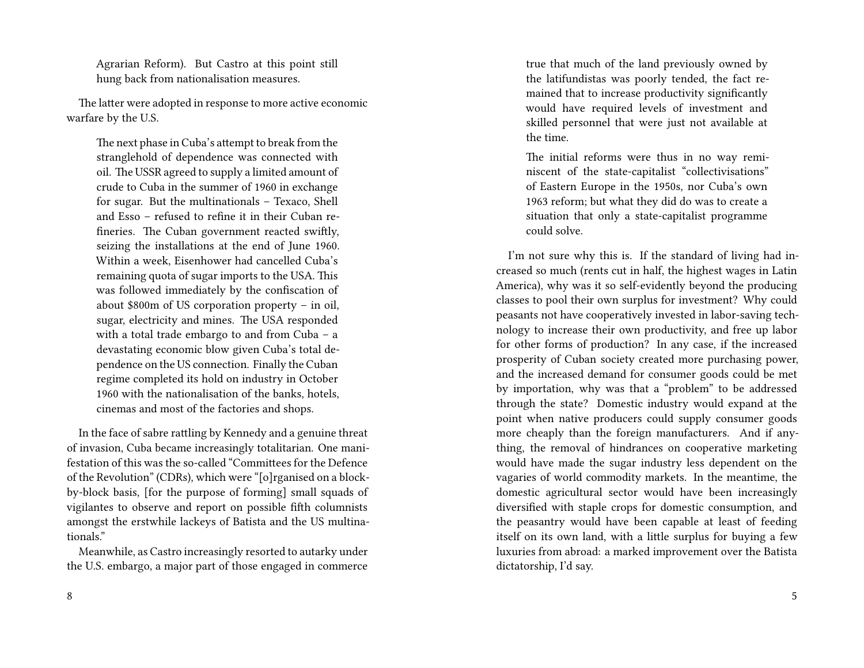Agrarian Reform). But Castro at this point still hung back from nationalisation measures.

The latter were adopted in response to more active economic warfare by the U.S.

The next phase in Cuba's attempt to break from the stranglehold of dependence was connected with oil. The USSR agreed to supply a limited amount of crude to Cuba in the summer of 1960 in exchange for sugar. But the multinationals – Texaco, Shell and Esso – refused to refine it in their Cuban refineries. The Cuban government reacted swiftly, seizing the installations at the end of June 1960. Within a week, Eisenhower had cancelled Cuba's remaining quota of sugar imports to the USA. This was followed immediately by the confiscation of about \$800m of US corporation property – in oil, sugar, electricity and mines. The USA responded with a total trade embargo to and from Cuba – a devastating economic blow given Cuba's total dependence on the US connection. Finally the Cuban regime completed its hold on industry in October 1960 with the nationalisation of the banks, hotels, cinemas and most of the factories and shops.

In the face of sabre rattling by Kennedy and a genuine threat of invasion, Cuba became increasingly totalitarian. One manifestation of this was the so-called "Committees for the Defence of the Revolution" (CDRs), which were "[o]rganised on a blockby-block basis, [for the purpose of forming] small squads of vigilantes to observe and report on possible fifth columnists amongst the erstwhile lackeys of Batista and the US multinationals."

Meanwhile, as Castro increasingly resorted to autarky under the U.S. embargo, a major part of those engaged in commerce

true that much of the land previously owned by the latifundistas was poorly tended, the fact remained that to increase productivity significantly would have required levels of investment and skilled personnel that were just not available at the time.

The initial reforms were thus in no way reminiscent of the state-capitalist "collectivisations" of Eastern Europe in the 1950s, nor Cuba's own 1963 reform; but what they did do was to create a situation that only a state-capitalist programme could solve.

I'm not sure why this is. If the standard of living had increased so much (rents cut in half, the highest wages in Latin America), why was it so self-evidently beyond the producing classes to pool their own surplus for investment? Why could peasants not have cooperatively invested in labor-saving technology to increase their own productivity, and free up labor for other forms of production? In any case, if the increased prosperity of Cuban society created more purchasing power, and the increased demand for consumer goods could be met by importation, why was that a "problem" to be addressed through the state? Domestic industry would expand at the point when native producers could supply consumer goods more cheaply than the foreign manufacturers. And if anything, the removal of hindrances on cooperative marketing would have made the sugar industry less dependent on the vagaries of world commodity markets. In the meantime, the domestic agricultural sector would have been increasingly diversified with staple crops for domestic consumption, and the peasantry would have been capable at least of feeding itself on its own land, with a little surplus for buying a few luxuries from abroad: a marked improvement over the Batista dictatorship, I'd say.